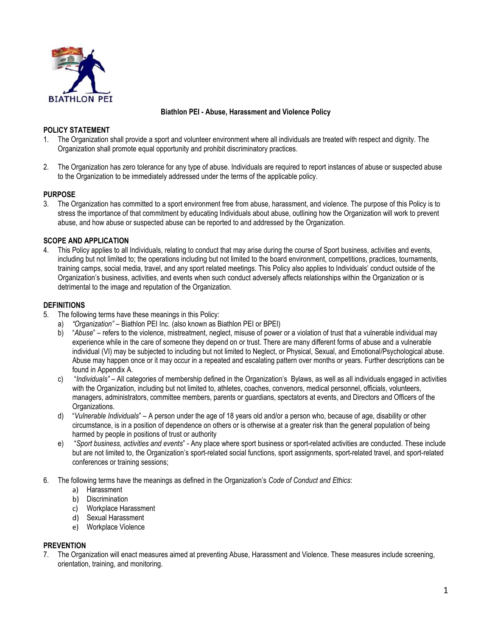

**Biathlon PEI - Abuse, Harassment and Violence Policy** 

## **POLICY STATEMENT**

- 1. The Organization shall provide a sport and volunteer environment where all individuals are treated with respect and dignity. The Organization shall promote equal opportunity and prohibit discriminatory practices.
- 2. The Organization has zero tolerance for any type of abuse. Individuals are required to report instances of abuse or suspected abuse to the Organization to be immediately addressed under the terms of the applicable policy.

## **PURPOSE**

3. The Organization has committed to a sport environment free from abuse, harassment, and violence. The purpose of this Policy is to stress the importance of that commitment by educating Individuals about abuse, outlining how the Organization will work to prevent abuse, and how abuse or suspected abuse can be reported to and addressed by the Organization.

## **SCOPE AND APPLICATION**

4. This Policy applies to all Individuals, relating to conduct that may arise during the course of Sport business, activities and events, including but not limited to; the operations including but not limited to the board environment, competitions, practices, tournaments, training camps, social media, travel, and any sport related meetings. This Policy also applies to Individuals' conduct outside of the Organization's business, activities, and events when such conduct adversely affects relationships within the Organization or is detrimental to the image and reputation of the Organization.

## **DEFINITIONS**

- 5. The following terms have these meanings in this Policy:
	- a) *"Organization"* Biathlon PEI Inc. (also known as Biathlon PEI or BPEI)
	- b) "*Abuse*" refers to the violence, mistreatment, neglect, misuse of power or a violation of trust that a vulnerable individual may experience while in the care of someone they depend on or trust. There are many different forms of abuse and a vulnerable individual (VI) may be subjected to including but not limited to Neglect, or Physical, Sexual, and Emotional/Psychological abuse. Abuse may happen once or it may occur in a repeated and escalating pattern over months or years. Further descriptions can be found in Appendix A.
	- c) "*Individuals"* All categories of membership defined in the Organization's Bylaws, as well as all individuals engaged in activities with the Organization, including but not limited to, athletes, coaches, convenors, medical personnel, officials, volunteers, managers, administrators, committee members, parents or guardians, spectators at events, and Directors and Officers of the Organizations.
	- d) "*Vulnerable Individuals*" A person under the age of 18 years old and/or a person who, because of age, disability or other circumstance, is in a position of dependence on others or is otherwise at a greater risk than the general population of being harmed by people in positions of trust or authority
	- e) "*Sport business, activities and events*" Any place where sport business or sport-related activities are conducted. These include but are not limited to, the Organization's sport-related social functions, sport assignments, sport-related travel, and sport-related conferences or training sessions;
- 6. The following terms have the meanings as defined in the Organization's *Code of Conduct and Ethics*:
	- a) Harassment
	- b) Discrimination
	- c) Workplace Harassment
	- d) Sexual Harassment
	- e) Workplace Violence

## **PREVENTION**

7. The Organization will enact measures aimed at preventing Abuse, Harassment and Violence. These measures include screening, orientation, training, and monitoring.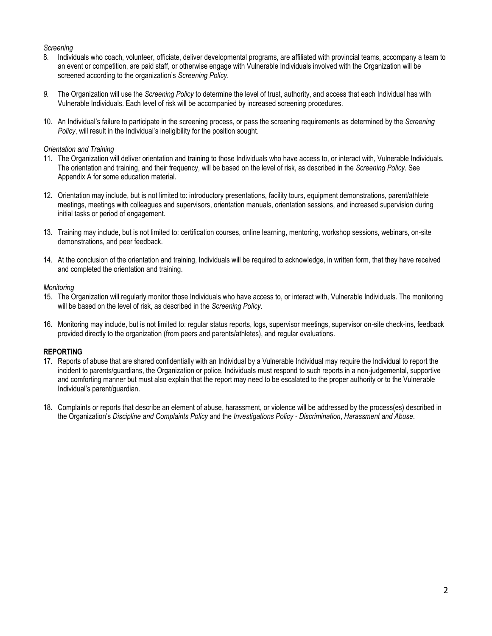## *Screening*

- 8. Individuals who coach, volunteer, officiate, deliver developmental programs, are affiliated with provincial teams, accompany a team to an event or competition, are paid staff, or otherwise engage with Vulnerable Individuals involved with the Organization will be screened according to the organization's *Screening Policy*.
- *9.* The Organization will use the *Screening Policy* to determine the level of trust, authority, and access that each Individual has with Vulnerable Individuals. Each level of risk will be accompanied by increased screening procedures.
- 10. An Individual's failure to participate in the screening process, or pass the screening requirements as determined by the *Screening Policy*, will result in the Individual's ineligibility for the position sought.

#### *Orientation and Training*

- 11. The Organization will deliver orientation and training to those Individuals who have access to, or interact with, Vulnerable Individuals. The orientation and training, and their frequency, will be based on the level of risk, as described in the *Screening Policy*. See Appendix A for some education material.
- 12. Orientation may include, but is not limited to: introductory presentations, facility tours, equipment demonstrations, parent/athlete meetings, meetings with colleagues and supervisors, orientation manuals, orientation sessions, and increased supervision during initial tasks or period of engagement.
- 13. Training may include, but is not limited to: certification courses, online learning, mentoring, workshop sessions, webinars, on-site demonstrations, and peer feedback.
- 14. At the conclusion of the orientation and training, Individuals will be required to acknowledge, in written form, that they have received and completed the orientation and training.

#### *Monitoring*

- 15. The Organization will regularly monitor those Individuals who have access to, or interact with, Vulnerable Individuals. The monitoring will be based on the level of risk, as described in the *Screening Policy*.
- 16. Monitoring may include, but is not limited to: regular status reports, logs, supervisor meetings, supervisor on-site check-ins, feedback provided directly to the organization (from peers and parents/athletes), and regular evaluations.

### **REPORTING**

- 17. Reports of abuse that are shared confidentially with an Individual by a Vulnerable Individual may require the Individual to report the incident to parents/guardians, the Organization or police. Individuals must respond to such reports in a non-judgemental, supportive and comforting manner but must also explain that the report may need to be escalated to the proper authority or to the Vulnerable Individual's parent/guardian.
- 18. Complaints or reports that describe an element of abuse, harassment, or violence will be addressed by the process(es) described in the Organization's *Discipline and Complaints Policy* and the *Investigations Policy - Discrimination*, *Harassment and Abuse*.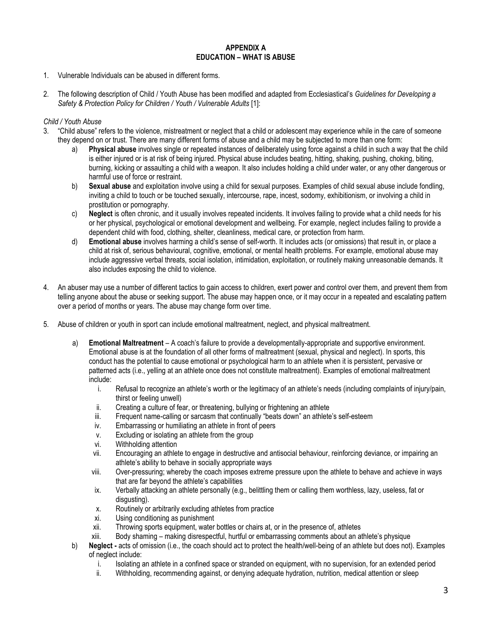### **APPENDIX A EDUCATION – WHAT IS ABUSE**

- 1. Vulnerable Individuals can be abused in different forms.
- 2. The following description of Child / Youth Abuse has been modified and adapted from Ecclesiastical's *Guidelines for Developing a*  Safety & Protection Policy for Children / Youth / Vulnerable Adults [1]:

### *Child / Youth Abuse*

- 3. "Child abuse" refers to the violence, mistreatment or neglect that a child or adolescent may experience while in the care of someone they depend on or trust. There are many different forms of abuse and a child may be subjected to more than one form:
	- a) **Physical abuse** involves single or repeated instances of deliberately using force against a child in such a way that the child is either injured or is at risk of being injured. Physical abuse includes beating, hitting, shaking, pushing, choking, biting, burning, kicking or assaulting a child with a weapon. It also includes holding a child under water, or any other dangerous or harmful use of force or restraint.
	- b) **Sexual abuse** and exploitation involve using a child for sexual purposes. Examples of child sexual abuse include fondling, inviting a child to touch or be touched sexually, intercourse, rape, incest, sodomy, exhibitionism, or involving a child in prostitution or pornography.
	- c) **Neglect** is often chronic, and it usually involves repeated incidents. It involves failing to provide what a child needs for his or her physical, psychological or emotional development and wellbeing. For example, neglect includes failing to provide a dependent child with food, clothing, shelter, cleanliness, medical care, or protection from harm.
	- d) **Emotional abuse** involves harming a child's sense of self-worth. It includes acts (or omissions) that result in, or place a child at risk of, serious behavioural, cognitive, emotional, or mental health problems. For example, emotional abuse may include aggressive verbal threats, social isolation, intimidation, exploitation, or routinely making unreasonable demands. It also includes exposing the child to violence.
- 4. An abuser may use a number of different tactics to gain access to children, exert power and control over them, and prevent them from telling anyone about the abuse or seeking support. The abuse may happen once, or it may occur in a repeated and escalating pattern over a period of months or years. The abuse may change form over time.
- 5. Abuse of children or youth in sport can include emotional maltreatment, neglect, and physical maltreatment.
	- a) **Emotional Maltreatment** A coach's failure to provide a developmentally-appropriate and supportive environment. Emotional abuse is at the foundation of all other forms of maltreatment (sexual, physical and neglect). In sports, this conduct has the potential to cause emotional or psychological harm to an athlete when it is persistent, pervasive or patterned acts (i.e., yelling at an athlete once does not constitute maltreatment). Examples of emotional maltreatment include:
		- i. Refusal to recognize an athlete's worth or the legitimacy of an athlete's needs (including complaints of injury/pain, thirst or feeling unwell)
		- ii. Creating a culture of fear, or threatening, bullying or frightening an athlete
		- iii. Frequent name-calling or sarcasm that continually "beats down" an athlete's self-esteem
		- iv. Embarrassing or humiliating an athlete in front of peers
		- v. Excluding or isolating an athlete from the group
		- vi. Withholding attention
		- vii. Encouraging an athlete to engage in destructive and antisocial behaviour, reinforcing deviance, or impairing an athlete's ability to behave in socially appropriate ways
		- viii. Over-pressuring; whereby the coach imposes extreme pressure upon the athlete to behave and achieve in ways that are far beyond the athlete's capabilities
		- ix. Verbally attacking an athlete personally (e.g., belittling them or calling them worthless, lazy, useless, fat or disgusting).
		- x. Routinely or arbitrarily excluding athletes from practice
		- xi. Using conditioning as punishment
		- xii. Throwing sports equipment, water bottles or chairs at, or in the presence of, athletes
		- xiii. Body shaming making disrespectful, hurtful or embarrassing comments about an athlete's physique
	- b) **Neglect -** acts of omission (i.e., the coach should act to protect the health/well-being of an athlete but does not). Examples of neglect include:
		- i. Isolating an athlete in a confined space or stranded on equipment, with no supervision, for an extended period
		- ii. Withholding, recommending against, or denying adequate hydration, nutrition, medical attention or sleep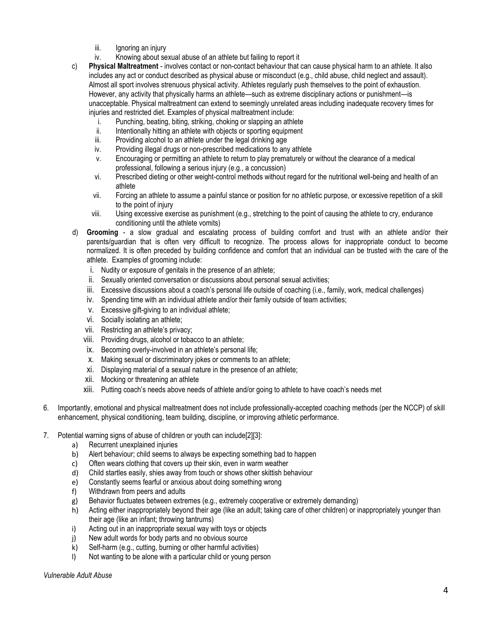- iii. Ignoring an injury
- iv. Knowing about sexual abuse of an athlete but failing to report it

c) **Physical Maltreatment** - involves contact or non-contact behaviour that can cause physical harm to an athlete. It also includes any act or conduct described as physical abuse or misconduct (e.g., child abuse, child neglect and assault). Almost all sport involves strenuous physical activity. Athletes regularly push themselves to the point of exhaustion. However, any activity that physically harms an athlete—such as extreme disciplinary actions or punishment—is unacceptable. Physical maltreatment can extend to seemingly unrelated areas including inadequate recovery times for injuries and restricted diet. Examples of physical maltreatment include:

- i. Punching, beating, biting, striking, choking or slapping an athlete
- ii. Intentionally hitting an athlete with objects or sporting equipment
- iii. Providing alcohol to an athlete under the legal drinking age
- iv. Providing illegal drugs or non-prescribed medications to any athlete
- v. Encouraging or permitting an athlete to return to play prematurely or without the clearance of a medical professional, following a serious injury (e.g., a concussion)
- vi. Prescribed dieting or other weight-control methods without regard for the nutritional well-being and health of an athlete
- vii. Forcing an athlete to assume a painful stance or position for no athletic purpose, or excessive repetition of a skill to the point of injury
- viii. Using excessive exercise as punishment (e.g., stretching to the point of causing the athlete to cry, endurance conditioning until the athlete vomits)
- d) **Grooming** a slow gradual and escalating process of building comfort and trust with an athlete and/or their parents/guardian that is often very difficult to recognize. The process allows for inappropriate conduct to become normalized. It is often preceded by building confidence and comfort that an individual can be trusted with the care of the athlete. Examples of grooming include:
	- i. Nudity or exposure of genitals in the presence of an athlete;
	- ii. Sexually oriented conversation or discussions about personal sexual activities;
	- iii. Excessive discussions about a coach's personal life outside of coaching (i.e., family, work, medical challenges)
	- iv. Spending time with an individual athlete and/or their family outside of team activities;
	- v. Excessive gift-giving to an individual athlete;
	- vi. Socially isolating an athlete;
	- vii. Restricting an athlete's privacy;
	- viii. Providing drugs, alcohol or tobacco to an athlete;
	- ix. Becoming overly-involved in an athlete's personal life;
	- x. Making sexual or discriminatory jokes or comments to an athlete;
	- xi. Displaying material of a sexual nature in the presence of an athlete;
	- xii. Mocking or threatening an athlete
	- xiii. Putting coach's needs above needs of athlete and/or going to athlete to have coach's needs met
- 6. Importantly, emotional and physical maltreatment does not include professionally-accepted coaching methods (per the NCCP) of skill enhancement, physical conditioning, team building, discipline, or improving athletic performance.
- 7. Potential warning signs of abuse of children or youth can include[2][3]:
	- a) Recurrent unexplained injuries
	- b) Alert behaviour; child seems to always be expecting something bad to happen
	- c) Often wears clothing that covers up their skin, even in warm weather
	- d) Child startles easily, shies away from touch or shows other skittish behaviour
	- e) Constantly seems fearful or anxious about doing something wrong
	- f) Withdrawn from peers and adults
	- g) Behavior fluctuates between extremes (e.g., extremely cooperative or extremely demanding)
	- h) Acting either inappropriately beyond their age (like an adult; taking care of other children) or inappropriately younger than their age (like an infant; throwing tantrums)
	- i) Acting out in an inappropriate sexual way with toys or objects
	- j) New adult words for body parts and no obvious source
	- k) Self-harm (e.g., cutting, burning or other harmful activities)
	- l) Not wanting to be alone with a particular child or young person

*Vulnerable Adult Abuse*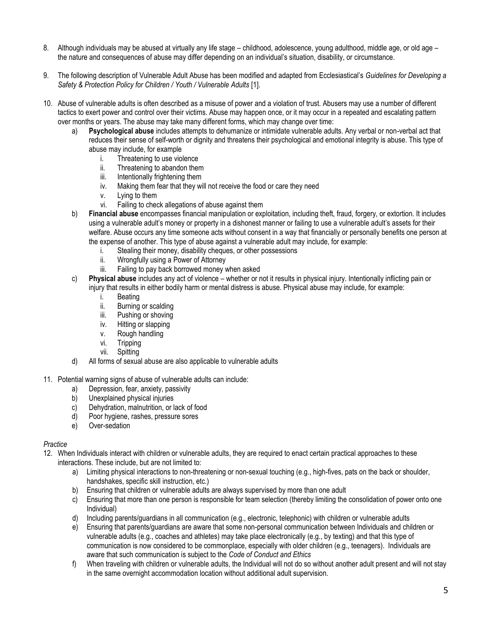- 8. Although individuals may be abused at virtually any life stage childhood, adolescence, young adulthood, middle age, or old age the nature and consequences of abuse may differ depending on an individual's situation, disability, or circumstance.
- 9. The following description of Vulnerable Adult Abuse has been modified and adapted from Ecclesiastical's *Guidelines for Developing a*  Safety & Protection Policy for Children / Youth / Vulnerable Adults [1].
- 10. Abuse of vulnerable adults is often described as a misuse of power and a violation of trust. Abusers may use a number of different tactics to exert power and control over their victims. Abuse may happen once, or it may occur in a repeated and escalating pattern over months or years. The abuse may take many different forms, which may change over time:
	- Psychological abuse includes attempts to dehumanize or intimidate vulnerable adults. Any verbal or non-verbal act that reduces their sense of self-worth or dignity and threatens their psychological and emotional integrity is abuse. This type of abuse may include, for example
		- i. Threatening to use violence
		- ii. Threatening to abandon them
		- iii. Intentionally frightening them
		- iv. Making them fear that they will not receive the food or care they need
		- v. Lying to them
		- vi. Failing to check allegations of abuse against them
	- b) **Financial abuse** encompasses financial manipulation or exploitation, including theft, fraud, forgery, or extortion. It includes using a vulnerable adult's money or property in a dishonest manner or failing to use a vulnerable adult's assets for their welfare. Abuse occurs any time someone acts without consent in a way that financially or personally benefits one person at the expense of another. This type of abuse against a vulnerable adult may include, for example:
		- i. Stealing their money, disability cheques, or other possessions
		- ii. Wrongfully using a Power of Attorney
		- iii. Failing to pay back borrowed money when asked
	- c) **Physical abuse** includes any act of violence whether or not it results in physical injury. Intentionally inflicting pain or injury that results in either bodily harm or mental distress is abuse. Physical abuse may include, for example:
		- i. Beating
		- ii. Burning or scalding
		- iii. Pushing or shoving
		- iv. Hitting or slapping
		- v. Rough handling
		- vi. Tripping
		- vii. Spitting
	- d) All forms of sexual abuse are also applicable to vulnerable adults
- 11. Potential warning signs of abuse of vulnerable adults can include:
	- a) Depression, fear, anxiety, passivity
	- b) Unexplained physical injuries
	- c) Dehydration, malnutrition, or lack of food
	- d) Poor hygiene, rashes, pressure sores
	- e) Over-sedation

## *Practice*

- 12. When Individuals interact with children or vulnerable adults, they are required to enact certain practical approaches to these interactions. These include, but are not limited to:
	- a) Limiting physical interactions to non-threatening or non-sexual touching (e.g., high-fives, pats on the back or shoulder, handshakes, specific skill instruction, etc.)
	- b) Ensuring that children or vulnerable adults are always supervised by more than one adult
	- c) Ensuring that more than one person is responsible for team selection (thereby limiting the consolidation of power onto one Individual)
	- d) Including parents/guardians in all communication (e.g., electronic, telephonic) with children or vulnerable adults
	- e) Ensuring that parents/guardians are aware that some non-personal communication between Individuals and children or vulnerable adults (e.g., coaches and athletes) may take place electronically (e.g., by texting) and that this type of communication is now considered to be commonplace, especially with older children (e.g., teenagers). Individuals are aware that such communication is subject to the *Code of Conduct and Ethics*
	- f) When traveling with children or vulnerable adults, the Individual will not do so without another adult present and will not stay in the same overnight accommodation location without additional adult supervision.